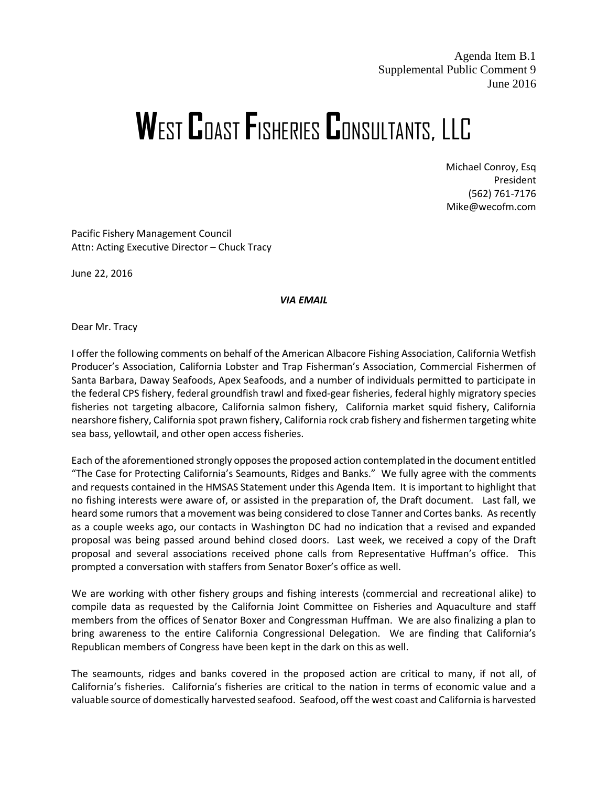Agenda Item B.1 Supplemental Public Comment 9 June 2016

## **W**EST **C**OAST **F**ISHERIES **C**ONSULTANTS, LLC

Michael Conroy, Esq President (562) 761-7176 Mike@wecofm.com

Pacific Fishery Management Council Attn: Acting Executive Director – Chuck Tracy

June 22, 2016

*VIA EMAIL*

Dear Mr. Tracy

I offer the following comments on behalf of the American Albacore Fishing Association, California Wetfish Producer's Association, California Lobster and Trap Fisherman's Association, Commercial Fishermen of Santa Barbara, Daway Seafoods, Apex Seafoods, and a number of individuals permitted to participate in the federal CPS fishery, federal groundfish trawl and fixed-gear fisheries, federal highly migratory species fisheries not targeting albacore, California salmon fishery, California market squid fishery, California nearshore fishery, California spot prawn fishery, California rock crab fishery and fishermen targeting white sea bass, yellowtail, and other open access fisheries.

Each of the aforementioned strongly opposes the proposed action contemplated in the document entitled "The Case for Protecting California's Seamounts, Ridges and Banks." We fully agree with the comments and requests contained in the HMSAS Statement under this Agenda Item. It is important to highlight that no fishing interests were aware of, or assisted in the preparation of, the Draft document. Last fall, we heard some rumors that a movement was being considered to close Tanner and Cortes banks. As recently as a couple weeks ago, our contacts in Washington DC had no indication that a revised and expanded proposal was being passed around behind closed doors. Last week, we received a copy of the Draft proposal and several associations received phone calls from Representative Huffman's office. This prompted a conversation with staffers from Senator Boxer's office as well.

We are working with other fishery groups and fishing interests (commercial and recreational alike) to compile data as requested by the California Joint Committee on Fisheries and Aquaculture and staff members from the offices of Senator Boxer and Congressman Huffman. We are also finalizing a plan to bring awareness to the entire California Congressional Delegation. We are finding that California's Republican members of Congress have been kept in the dark on this as well.

The seamounts, ridges and banks covered in the proposed action are critical to many, if not all, of California's fisheries. California's fisheries are critical to the nation in terms of economic value and a valuable source of domestically harvested seafood. Seafood, off the west coast and California is harvested